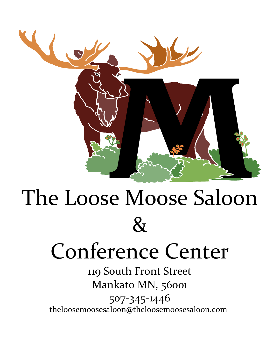

# The Loose Moose Saloon  $\mathcal{R}_{I}$

# Conference Center

119 South Front Street Mankato MN, 56001 507-345-1446<br>theloosemoosesaloon@theloosemoosesaloon.com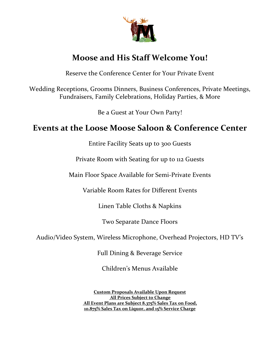

# **Moose and His Staff Welcome You!**

Reserve the Conference Center for Your Private Event

Wedding Receptions, Grooms Dinners, Business Conferences, Private Meetings, Fundraisers, Family Celebrations, Holiday Parties, & More

Be a Guest at Your Own Party!

# **Events at the Loose Moose Saloon & Conference Center**

Entire Facility Seats up to 300 Guests

Private Room with Seating for up to 112 Guests

Main Floor Space Available for Semi-Private Events

Variable Room Rates for Different Events

Linen Table Cloths & Napkins

Two Separate Dance Floors

Audio/Video System, Wireless Microphone, Overhead Projectors, HD TV's

Full Dining & Beverage Service

Children's Menus Available

**Custom Proposals Available Upon Request All Prices Subject to Change All Event Plans are Subject 8.375% Sales Tax on Food, 10.875% Sales Tax on Liquor, and 15% Service Charge**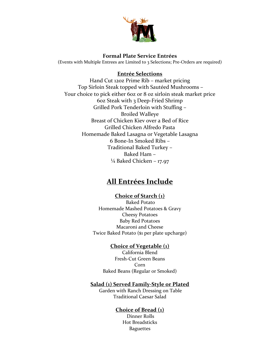

#### **Formal Plate Service Entrées**

(Events with Multiple Entrees are Limited to 3 Selections; Pre-Orders are required)

#### **Entrée Selections**

Hand Cut 12oz Prime Rib – market pricing Top Sirloin Steak topped with Sautéed Mushrooms – Your choice to pick either 6oz or 8 oz sirloin steak market price 6oz Steak with 3 Deep-Fried Shrimp Grilled Pork Tenderloin with Stuffing – Broiled Walleye Breast of Chicken Kiev over a Bed of Rice Grilled Chicken Alfredo Pasta Homemade Baked Lasagna or Vegetable Lasagna 6 Bone-In Smoked Ribs – Traditional Baked Turkey – Baked Ham –  $\frac{1}{4}$  Baked Chicken – 17.97

### **All Entrées Include**

#### **Choice of Starch (1)**

Baked Potato Homemade Mashed Potatoes & Gravy Cheesy Potatoes Baby Red Potatoes Macaroni and Cheese Twice Baked Potato (\$1 per plate upcharge)

#### **Choice of Vegetable (1)**

California Blend Fresh-Cut Green Beans Corn Baked Beans (Regular or Smoked)

#### **Salad (1) Served Family-Style or Plated**

Garden with Ranch Dressing on Table Traditional Caesar Salad

#### **Choice of Bread (1)**

Dinner Rolls Hot Breadsticks Baguettes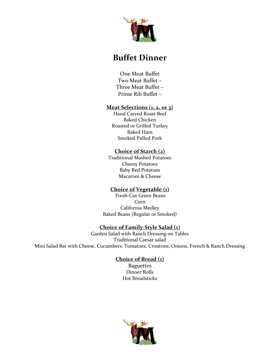

# **Buffet Dinner**

One Meat Buffet Two Meat Buffet – Three Meat Buffet – Prime Rib Buffet –

#### **Meat Selections (1, 2, or 3)**

Hand Carved Roast Beef Baked Chicken Roasted or Grilled Turkey Baked Ham Smoked Pulled Pork

#### **Choice of Starch (2)**

Traditional Mashed Potatoes Cheesy Potatoes Baby Red Potatoes Macaroni & Cheese

#### **Choice of Vegetable (1)**

Fresh-Cut Green Beans Corn California Medley Baked Beans (Regular or Smoked)

#### **Choice of Family-Style Salad (1)**

Garden Salad with Ranch Dressing on Tables Traditional Caesar salad Mini Salad Bar with Cheese, Cucumbers, Tomatoes, Croutons, Onions, French & Ranch Dressing

#### **Choice of Bread (1)**

Baguettes Dinner Rolls Hot Breadsticks

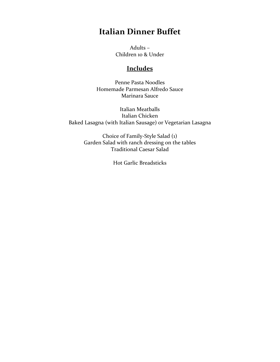# **Italian Dinner Buffet**

Adults – Children 10 & Under

#### **Includes**

Penne Pasta Noodles Homemade Parmesan Alfredo Sauce Marinara Sauce

Italian Meatballs Italian Chicken Baked Lasagna (with Italian Sausage) or Vegetarian Lasagna

> Choice of Family-Style Salad (1) Garden Salad with ranch dressing on the tables Traditional Caesar Salad

> > Hot Garlic Breadsticks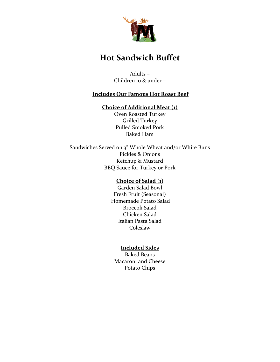

# **Hot Sandwich Buffet**

Adults – Children 10 & under –

#### **Includes Our Famous Hot Roast Beef**

#### **Choice of Additional Meat (1)**

Oven Roasted Turkey Grilled Turkey Pulled Smoked Pork Baked Ham

Sandwiches Served on 3" Whole Wheat and/or White Buns Pickles & Onions Ketchup & Mustard BBQ Sauce for Turkey or Pork

#### **Choice of Salad (1)**

Garden Salad Bowl Fresh Fruit (Seasonal) Homemade Potato Salad Broccoli Salad Chicken Salad Italian Pasta Salad Coleslaw

#### **Included Sides**

Baked Beans Macaroni and Cheese Potato Chips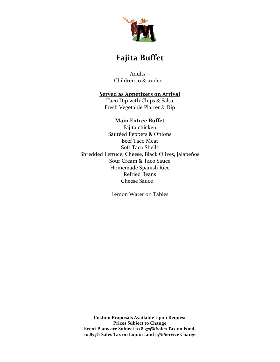

# **Fajita Buffet**

Adults – Children 10 & under –

#### **Served as Appetizers on Arrival**

Taco Dip with Chips & Salsa Fresh Vegetable Platter & Dip

#### **Main Entrée Buffet**

Fajita chicken Sautéed Peppers & Onions Beef Taco Meat Soft Taco Shells Shredded Lettuce, Cheese, Black Olives, Jalapeños Sour Cream & Taco Sauce Homemade Spanish Rice Refried Beans Cheese Sauce

Lemon Water on Tables

**Custom Proposals Available Upon Request Prices Subject to Change Event Plans are Subject to 8.375% Sales Tax on Food, 10.875% Sales Tax on Liquor, and 15% Service Charge**